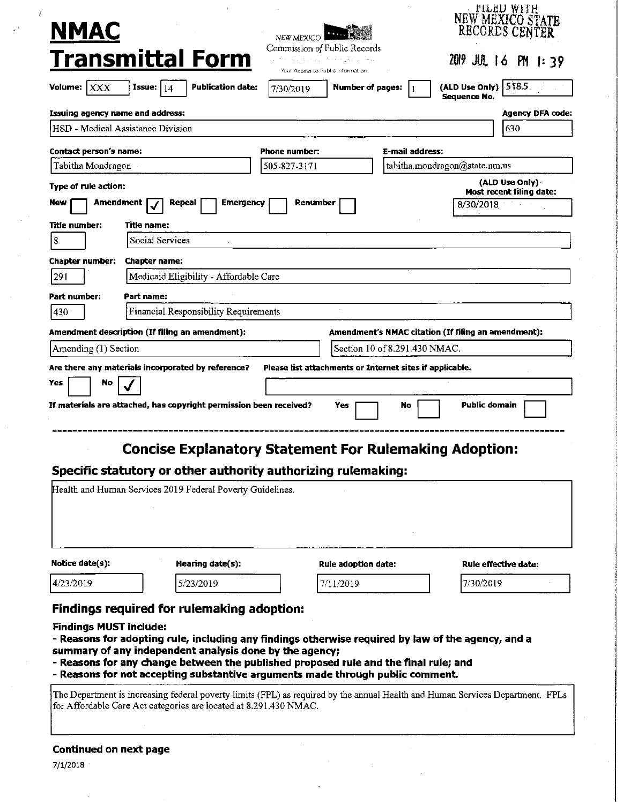|                                         |                                                                                                                                                                                                                                                                                                                                                                                                                                                                                                                                                                                                     |                                                                   |                                         |                 |                                                     | 'EITRD ALLH<br>NEW MÉXICO STATE<br>RECORDS CENTER |
|-----------------------------------------|-----------------------------------------------------------------------------------------------------------------------------------------------------------------------------------------------------------------------------------------------------------------------------------------------------------------------------------------------------------------------------------------------------------------------------------------------------------------------------------------------------------------------------------------------------------------------------------------------------|-------------------------------------------------------------------|-----------------------------------------|-----------------|-----------------------------------------------------|---------------------------------------------------|
| <u>NMAC</u>                             |                                                                                                                                                                                                                                                                                                                                                                                                                                                                                                                                                                                                     | NEW MEXICO                                                        |                                         |                 |                                                     |                                                   |
|                                         | <b>Transmittal Form</b>                                                                                                                                                                                                                                                                                                                                                                                                                                                                                                                                                                             | Commission of Public Records<br>Your Access to Public Information | agreed are a grid to see a part current |                 |                                                     | 2019 JUL 16 PM 1:39                               |
| Volume: $ XXX $                         | <b>Publication date:</b><br>Issue: $14$                                                                                                                                                                                                                                                                                                                                                                                                                                                                                                                                                             | 7/30/2019                                                         | Number of pages:                        | -1              | (ALD Use Only) 518.5<br>Sequence No.                |                                                   |
| <b>Issuing agency name and address:</b> |                                                                                                                                                                                                                                                                                                                                                                                                                                                                                                                                                                                                     |                                                                   |                                         |                 |                                                     | Agency DFA code:                                  |
|                                         | HSD - Medical Assistance Division                                                                                                                                                                                                                                                                                                                                                                                                                                                                                                                                                                   |                                                                   |                                         |                 |                                                     | 630                                               |
| Contact person's name:                  |                                                                                                                                                                                                                                                                                                                                                                                                                                                                                                                                                                                                     | <b>Phone number:</b>                                              |                                         | E-mail address: |                                                     |                                                   |
| Tabitha Mondragon                       |                                                                                                                                                                                                                                                                                                                                                                                                                                                                                                                                                                                                     | 505-827-3171                                                      |                                         |                 | tabitha.mondragon@state.nm.us                       |                                                   |
| Type of rule action:                    |                                                                                                                                                                                                                                                                                                                                                                                                                                                                                                                                                                                                     |                                                                   |                                         |                 |                                                     | (ALD Use Only)                                    |
| Amendment<br>New                        | Repeal<br>Emergency                                                                                                                                                                                                                                                                                                                                                                                                                                                                                                                                                                                 | Renumber                                                          |                                         |                 | 8/30/2018                                           | Most recent filing date:                          |
| Title number:                           | Title name:                                                                                                                                                                                                                                                                                                                                                                                                                                                                                                                                                                                         |                                                                   |                                         |                 |                                                     |                                                   |
| $\vert 8 \vert$                         | Social Services                                                                                                                                                                                                                                                                                                                                                                                                                                                                                                                                                                                     |                                                                   |                                         |                 |                                                     |                                                   |
| <b>Chapter number:</b>                  | <b>Chapter name:</b>                                                                                                                                                                                                                                                                                                                                                                                                                                                                                                                                                                                |                                                                   |                                         |                 |                                                     |                                                   |
| 291                                     | Medicaid Eligibility - Affordable Care                                                                                                                                                                                                                                                                                                                                                                                                                                                                                                                                                              |                                                                   |                                         |                 |                                                     |                                                   |
| Part number:                            | Part name:                                                                                                                                                                                                                                                                                                                                                                                                                                                                                                                                                                                          |                                                                   |                                         |                 |                                                     |                                                   |
| 430                                     | Financial Responsibility Requirements                                                                                                                                                                                                                                                                                                                                                                                                                                                                                                                                                               |                                                                   |                                         |                 |                                                     |                                                   |
|                                         | Amendment description (If filing an amendment):                                                                                                                                                                                                                                                                                                                                                                                                                                                                                                                                                     |                                                                   |                                         |                 | Amendment's NMAC citation (If filing an amendment): |                                                   |
| Amending (1) Section                    |                                                                                                                                                                                                                                                                                                                                                                                                                                                                                                                                                                                                     |                                                                   | Section 10 of 8.291.430 NMAC.           |                 |                                                     |                                                   |
|                                         | If materials are attached, has copyright permission been received?<br><b>Concise Explanatory Statement For Rulemaking Adoption:</b>                                                                                                                                                                                                                                                                                                                                                                                                                                                                 |                                                                   | Yes                                     | No              | <b>Public domain</b>                                |                                                   |
|                                         | Specific statutory or other authority authorizing rulemaking:<br>Health and Human Services 2019 Federal Poverty Guidelines.                                                                                                                                                                                                                                                                                                                                                                                                                                                                         |                                                                   |                                         |                 |                                                     |                                                   |
| Notice date(s):                         | Hearing date(s):                                                                                                                                                                                                                                                                                                                                                                                                                                                                                                                                                                                    |                                                                   | Rule adoption date:                     |                 |                                                     | <b>Rule effective date:</b>                       |
| 4/23/2019                               | 5/23/2019                                                                                                                                                                                                                                                                                                                                                                                                                                                                                                                                                                                           |                                                                   | 7/11/2019                               |                 | 7/30/2019                                           |                                                   |
| <b>Findings MUST include:</b>           | <b>Findings required for rulemaking adoption:</b><br>- Reasons for adopting rule, including any findings otherwise required by law of the agency, and a<br>summary of any independent analysis done by the agency;<br>- Reasons for any change between the published proposed rule and the final rule; and<br>- Reasons for not accepting substantive arguments made through public comment.<br>The Department is increasing federal poverty limits (FPL) as required by the annual Health and Human Services Department. FPLs<br>for Affordable Care Act categories are located at 8.291.430 NMAC. |                                                                   |                                         |                 |                                                     |                                                   |
| Continued on next page<br>7/1/2018      |                                                                                                                                                                                                                                                                                                                                                                                                                                                                                                                                                                                                     |                                                                   |                                         |                 |                                                     |                                                   |

 $\bar{\mathbf{z}}$ 

 $\mathbf{r}^{\prime}$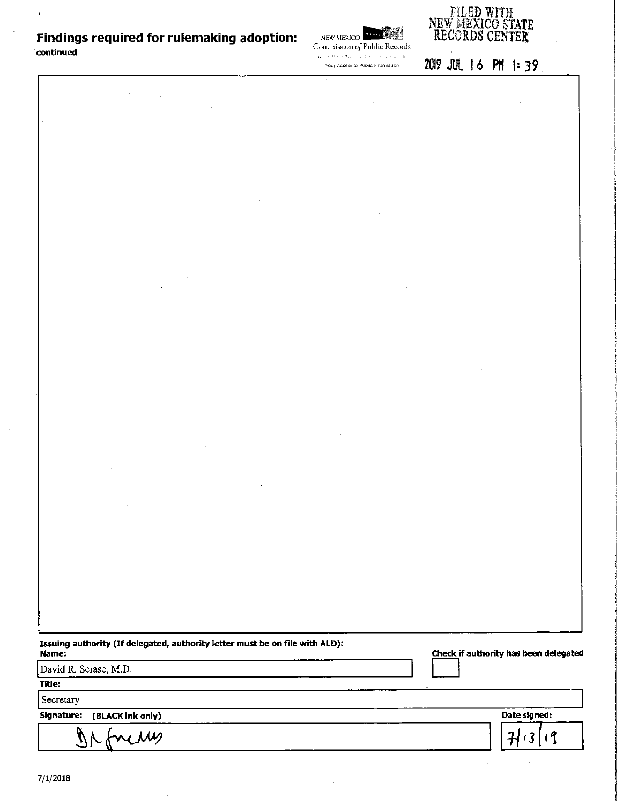## **Findings required for rulemaking adoption: continued**

 $\bar{t}$ 

*NEW MEXICO* **IP : EAST AND IP : IP : EAST AND IP : EAST AND IP : EAST AND IP : EAST AND IP : EAST AND IP : EAST AND IP : EAST AND IP : EAST AND IP : EAST AND IP : EAST AND IP : EAST AND IP : EAST AND IP : EAST AND IP : EA** Commission *of* Public Records



 $\mathcal{G}^{(1,2)}_{\mathcal{G}}\in\mathbb{C}^{1}_{\mathcal{G}}\mathbb{C}^{1}_{\mathcal{G}}\mathbb{C}^{1}_{\mathcal{G}}\mathbb{C}^{1}_{\mathcal{G}}\times\mathbb{C}^{1}_{\mathcal{G}}\mathbb{C}^{1}_{\mathcal{G}}\mathbb{C}^{1}_{\mathcal{G}}\mathbb{C}^{1}_{\mathcal{G}}\mathbb{C}^{1}_{\mathcal{G}}\mathbb{C}^{1}_{\mathcal{G}}\mathbb{C}^{1}_{\mathcal{G}}$ 20!? JUL I 6 PH I: 39 Your Access to Public Information

| $\label{eq:2.1} \frac{1}{2}\sum_{i=1}^n\frac{1}{2}\sum_{j=1}^n\frac{1}{2}\sum_{j=1}^n\frac{1}{2}\sum_{j=1}^n\frac{1}{2}\sum_{j=1}^n\frac{1}{2}\sum_{j=1}^n\frac{1}{2}\sum_{j=1}^n\frac{1}{2}\sum_{j=1}^n\frac{1}{2}\sum_{j=1}^n\frac{1}{2}\sum_{j=1}^n\frac{1}{2}\sum_{j=1}^n\frac{1}{2}\sum_{j=1}^n\frac{1}{2}\sum_{j=1}^n\frac{1}{2}\sum_{j=1}^n\$<br>$\mathcal{O}(\mathcal{O}_\mathcal{O})$ . The set of $\mathcal{O}_\mathcal{O}(\mathcal{O}_\mathcal{O})$ | $\label{eq:2.1} \mathcal{L}(\mathcal{L}^{\mathcal{L}}_{\mathcal{L}}(\mathcal{L}^{\mathcal{L}}_{\mathcal{L}})) \leq \mathcal{L}(\mathcal{L}^{\mathcal{L}}_{\mathcal{L}}(\mathcal{L}^{\mathcal{L}}_{\mathcal{L}})) \leq \mathcal{L}(\mathcal{L}^{\mathcal{L}}_{\mathcal{L}}(\mathcal{L}^{\mathcal{L}}_{\mathcal{L}}))$ |                                                                                                                                                                                                                                                                                                                                                                                                                                           |                                       |
|----------------------------------------------------------------------------------------------------------------------------------------------------------------------------------------------------------------------------------------------------------------------------------------------------------------------------------------------------------------------------------------------------------------------------------------------------------------|----------------------------------------------------------------------------------------------------------------------------------------------------------------------------------------------------------------------------------------------------------------------------------------------------------------------|-------------------------------------------------------------------------------------------------------------------------------------------------------------------------------------------------------------------------------------------------------------------------------------------------------------------------------------------------------------------------------------------------------------------------------------------|---------------------------------------|
|                                                                                                                                                                                                                                                                                                                                                                                                                                                                |                                                                                                                                                                                                                                                                                                                      |                                                                                                                                                                                                                                                                                                                                                                                                                                           |                                       |
|                                                                                                                                                                                                                                                                                                                                                                                                                                                                |                                                                                                                                                                                                                                                                                                                      |                                                                                                                                                                                                                                                                                                                                                                                                                                           |                                       |
|                                                                                                                                                                                                                                                                                                                                                                                                                                                                |                                                                                                                                                                                                                                                                                                                      |                                                                                                                                                                                                                                                                                                                                                                                                                                           |                                       |
|                                                                                                                                                                                                                                                                                                                                                                                                                                                                | $\mathcal{O}(\mathcal{A})$ .                                                                                                                                                                                                                                                                                         |                                                                                                                                                                                                                                                                                                                                                                                                                                           |                                       |
|                                                                                                                                                                                                                                                                                                                                                                                                                                                                |                                                                                                                                                                                                                                                                                                                      |                                                                                                                                                                                                                                                                                                                                                                                                                                           |                                       |
|                                                                                                                                                                                                                                                                                                                                                                                                                                                                | $\mathcal{O}(\mathcal{O}_\mathcal{O})$ . The contract of the contract of the contract of the contract of the contract of the contract of the contract of the contract of the contract of the contract of the contract of the contract of the co                                                                      |                                                                                                                                                                                                                                                                                                                                                                                                                                           |                                       |
|                                                                                                                                                                                                                                                                                                                                                                                                                                                                |                                                                                                                                                                                                                                                                                                                      |                                                                                                                                                                                                                                                                                                                                                                                                                                           |                                       |
|                                                                                                                                                                                                                                                                                                                                                                                                                                                                | $\mathcal{L}(\mathcal{L}^{\mathcal{L}})$ and $\mathcal{L}(\mathcal{L}^{\mathcal{L}})$ and $\mathcal{L}(\mathcal{L}^{\mathcal{L}})$ and $\mathcal{L}(\mathcal{L}^{\mathcal{L}})$                                                                                                                                      |                                                                                                                                                                                                                                                                                                                                                                                                                                           |                                       |
|                                                                                                                                                                                                                                                                                                                                                                                                                                                                | $\mathcal{O}(\mathcal{O}_\mathcal{O})$ . The contract of the contract of the contract of the contract of the contract of the contract of the contract of the contract of the contract of the contract of the contract of the contract of the co                                                                      | $\label{eq:2.1} \frac{1}{\sqrt{2}}\left(\frac{1}{\sqrt{2}}\right)^{2} \frac{1}{\sqrt{2}}\left(\frac{1}{\sqrt{2}}\right)^{2} \frac{1}{\sqrt{2}}\left(\frac{1}{\sqrt{2}}\right)^{2} \frac{1}{\sqrt{2}}\left(\frac{1}{\sqrt{2}}\right)^{2} \frac{1}{\sqrt{2}}\left(\frac{1}{\sqrt{2}}\right)^{2} \frac{1}{\sqrt{2}}\left(\frac{1}{\sqrt{2}}\right)^{2} \frac{1}{\sqrt{2}}\left(\frac{1}{\sqrt{2}}\right)^{2} \frac{1}{\sqrt{2}}\left(\frac{$ |                                       |
|                                                                                                                                                                                                                                                                                                                                                                                                                                                                |                                                                                                                                                                                                                                                                                                                      |                                                                                                                                                                                                                                                                                                                                                                                                                                           |                                       |
| $\label{eq:2.1} \frac{1}{\sqrt{2}}\int_{\mathbb{R}^3}\frac{1}{\sqrt{2}}\left(\frac{1}{\sqrt{2}}\right)^2\frac{1}{\sqrt{2}}\left(\frac{1}{\sqrt{2}}\right)^2\frac{1}{\sqrt{2}}\left(\frac{1}{\sqrt{2}}\right)^2\frac{1}{\sqrt{2}}\left(\frac{1}{\sqrt{2}}\right)^2.$<br>$\mathcal{A}^{\text{max}}_{\text{max}}$                                                                                                                                                 |                                                                                                                                                                                                                                                                                                                      |                                                                                                                                                                                                                                                                                                                                                                                                                                           |                                       |
|                                                                                                                                                                                                                                                                                                                                                                                                                                                                |                                                                                                                                                                                                                                                                                                                      |                                                                                                                                                                                                                                                                                                                                                                                                                                           |                                       |
| $\mathcal{L}^{\mathcal{L}}(\mathcal{L}^{\mathcal{L}})$ and $\mathcal{L}^{\mathcal{L}}(\mathcal{L}^{\mathcal{L}})$ and $\mathcal{L}^{\mathcal{L}}(\mathcal{L}^{\mathcal{L}})$                                                                                                                                                                                                                                                                                   |                                                                                                                                                                                                                                                                                                                      |                                                                                                                                                                                                                                                                                                                                                                                                                                           |                                       |
| $\sim 10^{11}$                                                                                                                                                                                                                                                                                                                                                                                                                                                 |                                                                                                                                                                                                                                                                                                                      |                                                                                                                                                                                                                                                                                                                                                                                                                                           |                                       |
|                                                                                                                                                                                                                                                                                                                                                                                                                                                                |                                                                                                                                                                                                                                                                                                                      |                                                                                                                                                                                                                                                                                                                                                                                                                                           |                                       |
| $\mathcal{L}_{\text{max}}$ , where $\mathcal{L}_{\text{max}}$ and $\mathcal{L}_{\text{max}}$                                                                                                                                                                                                                                                                                                                                                                   |                                                                                                                                                                                                                                                                                                                      |                                                                                                                                                                                                                                                                                                                                                                                                                                           |                                       |
|                                                                                                                                                                                                                                                                                                                                                                                                                                                                |                                                                                                                                                                                                                                                                                                                      |                                                                                                                                                                                                                                                                                                                                                                                                                                           |                                       |
|                                                                                                                                                                                                                                                                                                                                                                                                                                                                |                                                                                                                                                                                                                                                                                                                      | $\mathcal{O}(10^{11} \, \mathrm{Mpc})$ .                                                                                                                                                                                                                                                                                                                                                                                                  |                                       |
|                                                                                                                                                                                                                                                                                                                                                                                                                                                                |                                                                                                                                                                                                                                                                                                                      |                                                                                                                                                                                                                                                                                                                                                                                                                                           |                                       |
| $\mathcal{L}(\mathcal{L}^{\mathcal{L}})$ and $\mathcal{L}(\mathcal{L}^{\mathcal{L}})$ and $\mathcal{L}^{\mathcal{L}}$ and $\mathcal{L}^{\mathcal{L}}$                                                                                                                                                                                                                                                                                                          |                                                                                                                                                                                                                                                                                                                      | $\label{eq:2.1} \mathcal{L}(\mathcal{L}^{\mathcal{L}}_{\mathcal{L}}(\mathcal{L}^{\mathcal{L}}_{\mathcal{L}})) \leq \mathcal{L}(\mathcal{L}^{\mathcal{L}}_{\mathcal{L}}(\mathcal{L}^{\mathcal{L}}_{\mathcal{L}})) \leq \mathcal{L}(\mathcal{L}^{\mathcal{L}}_{\mathcal{L}}(\mathcal{L}^{\mathcal{L}}_{\mathcal{L}}))$                                                                                                                      |                                       |
|                                                                                                                                                                                                                                                                                                                                                                                                                                                                |                                                                                                                                                                                                                                                                                                                      |                                                                                                                                                                                                                                                                                                                                                                                                                                           |                                       |
| $\mathcal{L}^{\mathcal{L}}(\mathcal{L}^{\mathcal{L}})$ and $\mathcal{L}^{\mathcal{L}}(\mathcal{L}^{\mathcal{L}})$ and $\mathcal{L}^{\mathcal{L}}(\mathcal{L}^{\mathcal{L}})$ and $\mathcal{L}^{\mathcal{L}}(\mathcal{L}^{\mathcal{L}})$                                                                                                                                                                                                                        |                                                                                                                                                                                                                                                                                                                      |                                                                                                                                                                                                                                                                                                                                                                                                                                           |                                       |
| $\sim 100$<br>$\mathcal{L}^{\mathcal{L}}(\mathcal{L}^{\mathcal{L}})$ and $\mathcal{L}^{\mathcal{L}}(\mathcal{L}^{\mathcal{L}})$ and $\mathcal{L}^{\mathcal{L}}(\mathcal{L}^{\mathcal{L}})$ and $\mathcal{L}^{\mathcal{L}}(\mathcal{L}^{\mathcal{L}})$                                                                                                                                                                                                          |                                                                                                                                                                                                                                                                                                                      |                                                                                                                                                                                                                                                                                                                                                                                                                                           |                                       |
|                                                                                                                                                                                                                                                                                                                                                                                                                                                                |                                                                                                                                                                                                                                                                                                                      |                                                                                                                                                                                                                                                                                                                                                                                                                                           |                                       |
| $\label{eq:2.1} \frac{1}{2}\sum_{i=1}^n\frac{1}{2}\sum_{i=1}^n\frac{1}{2}\sum_{i=1}^n\frac{1}{2}\sum_{i=1}^n\frac{1}{2}\sum_{i=1}^n\frac{1}{2}\sum_{i=1}^n\frac{1}{2}\sum_{i=1}^n\frac{1}{2}\sum_{i=1}^n\frac{1}{2}\sum_{i=1}^n\frac{1}{2}\sum_{i=1}^n\frac{1}{2}\sum_{i=1}^n\frac{1}{2}\sum_{i=1}^n\frac{1}{2}\sum_{i=1}^n\frac{1}{2}\sum_{i=1}^n\$                                                                                                           |                                                                                                                                                                                                                                                                                                                      |                                                                                                                                                                                                                                                                                                                                                                                                                                           |                                       |
|                                                                                                                                                                                                                                                                                                                                                                                                                                                                |                                                                                                                                                                                                                                                                                                                      |                                                                                                                                                                                                                                                                                                                                                                                                                                           |                                       |
|                                                                                                                                                                                                                                                                                                                                                                                                                                                                |                                                                                                                                                                                                                                                                                                                      |                                                                                                                                                                                                                                                                                                                                                                                                                                           |                                       |
|                                                                                                                                                                                                                                                                                                                                                                                                                                                                |                                                                                                                                                                                                                                                                                                                      |                                                                                                                                                                                                                                                                                                                                                                                                                                           |                                       |
|                                                                                                                                                                                                                                                                                                                                                                                                                                                                |                                                                                                                                                                                                                                                                                                                      |                                                                                                                                                                                                                                                                                                                                                                                                                                           |                                       |
|                                                                                                                                                                                                                                                                                                                                                                                                                                                                |                                                                                                                                                                                                                                                                                                                      |                                                                                                                                                                                                                                                                                                                                                                                                                                           |                                       |
|                                                                                                                                                                                                                                                                                                                                                                                                                                                                |                                                                                                                                                                                                                                                                                                                      |                                                                                                                                                                                                                                                                                                                                                                                                                                           |                                       |
|                                                                                                                                                                                                                                                                                                                                                                                                                                                                |                                                                                                                                                                                                                                                                                                                      |                                                                                                                                                                                                                                                                                                                                                                                                                                           |                                       |
|                                                                                                                                                                                                                                                                                                                                                                                                                                                                |                                                                                                                                                                                                                                                                                                                      |                                                                                                                                                                                                                                                                                                                                                                                                                                           |                                       |
|                                                                                                                                                                                                                                                                                                                                                                                                                                                                |                                                                                                                                                                                                                                                                                                                      |                                                                                                                                                                                                                                                                                                                                                                                                                                           |                                       |
|                                                                                                                                                                                                                                                                                                                                                                                                                                                                |                                                                                                                                                                                                                                                                                                                      |                                                                                                                                                                                                                                                                                                                                                                                                                                           |                                       |
| Issuing authority (If delegated, authority letter must be on file with ALD):<br>Name:                                                                                                                                                                                                                                                                                                                                                                          |                                                                                                                                                                                                                                                                                                                      |                                                                                                                                                                                                                                                                                                                                                                                                                                           | Check if authority has been delegated |
| David R. Scrase, M.D.                                                                                                                                                                                                                                                                                                                                                                                                                                          |                                                                                                                                                                                                                                                                                                                      |                                                                                                                                                                                                                                                                                                                                                                                                                                           |                                       |
| Title:                                                                                                                                                                                                                                                                                                                                                                                                                                                         |                                                                                                                                                                                                                                                                                                                      |                                                                                                                                                                                                                                                                                                                                                                                                                                           |                                       |
| Secretary                                                                                                                                                                                                                                                                                                                                                                                                                                                      |                                                                                                                                                                                                                                                                                                                      |                                                                                                                                                                                                                                                                                                                                                                                                                                           |                                       |
| Signature:<br>(BLACK ink only)                                                                                                                                                                                                                                                                                                                                                                                                                                 |                                                                                                                                                                                                                                                                                                                      |                                                                                                                                                                                                                                                                                                                                                                                                                                           | Date signed:                          |
|                                                                                                                                                                                                                                                                                                                                                                                                                                                                |                                                                                                                                                                                                                                                                                                                      |                                                                                                                                                                                                                                                                                                                                                                                                                                           |                                       |
| nerry                                                                                                                                                                                                                                                                                                                                                                                                                                                          |                                                                                                                                                                                                                                                                                                                      |                                                                                                                                                                                                                                                                                                                                                                                                                                           | $\mathfrak{g}$<br>귀'3                 |